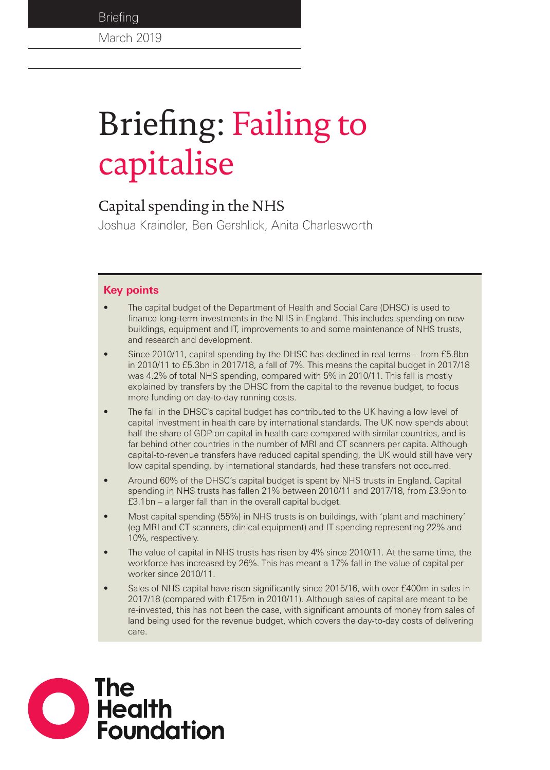**Briefing** 

March 2019

# Briefing: Failing to capitalise

## Capital spending in the NHS

Joshua Kraindler, Ben Gershlick, Anita Charlesworth

## **Key points**

- The capital budget of the Department of Health and Social Care (DHSC) is used to finance long-term investments in the NHS in England. This includes spending on new buildings, equipment and IT, improvements to and some maintenance of NHS trusts, and research and development.
- Since 2010/11, capital spending by the DHSC has declined in real terms from £5.8bn in 2010/11 to £5.3bn in 2017/18, a fall of 7%. This means the capital budget in 2017/18 was 4.2% of total NHS spending, compared with 5% in 2010/11. This fall is mostly explained by transfers by the DHSC from the capital to the revenue budget, to focus more funding on day-to-day running costs.
- The fall in the DHSC's capital budget has contributed to the UK having a low level of capital investment in health care by international standards. The UK now spends about half the share of GDP on capital in health care compared with similar countries, and is far behind other countries in the number of MRI and CT scanners per capita. Although capital-to-revenue transfers have reduced capital spending, the UK would still have very low capital spending, by international standards, had these transfers not occurred.
- Around 60% of the DHSC's capital budget is spent by NHS trusts in England. Capital spending in NHS trusts has fallen 21% between 2010/11 and 2017/18, from £3.9bn to £3.1bn – a larger fall than in the overall capital budget.
- Most capital spending (55%) in NHS trusts is on buildings, with 'plant and machinery' (eg MRI and CT scanners, clinical equipment) and IT spending representing 22% and 10%, respectively.
- The value of capital in NHS trusts has risen by 4% since 2010/11. At the same time, the workforce has increased by 26%. This has meant a 17% fall in the value of capital per worker since 2010/11.
- Sales of NHS capital have risen significantly since 2015/16, with over £400m in sales in 2017/18 (compared with £175m in 2010/11). Although sales of capital are meant to be re-invested, this has not been the case, with significant amounts of money from sales of land being used for the revenue budget, which covers the day-to-day costs of delivering care.

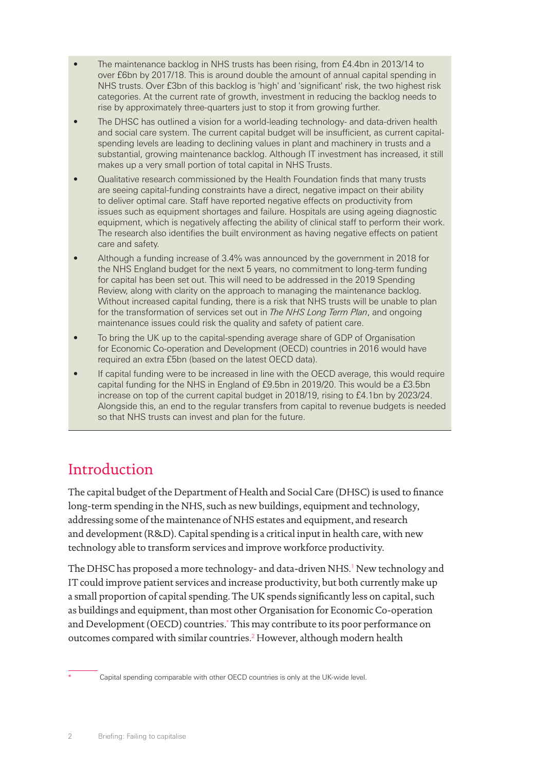- The maintenance backlog in NHS trusts has been rising, from £4.4bn in 2013/14 to over £6bn by 2017/18. This is around double the amount of annual capital spending in NHS trusts. Over £3bn of this backlog is 'high' and 'significant' risk, the two highest risk categories. At the current rate of growth, investment in reducing the backlog needs to rise by approximately three-quarters just to stop it from growing further.
- The DHSC has outlined a vision for a world-leading technology- and data-driven health and social care system. The current capital budget will be insufficient, as current capitalspending levels are leading to declining values in plant and machinery in trusts and a substantial, growing maintenance backlog. Although IT investment has increased, it still makes up a very small portion of total capital in NHS Trusts.
- Qualitative research commissioned by the Health Foundation finds that many trusts are seeing capital-funding constraints have a direct, negative impact on their ability to deliver optimal care. Staff have reported negative effects on productivity from issues such as equipment shortages and failure. Hospitals are using ageing diagnostic equipment, which is negatively affecting the ability of clinical staff to perform their work. The research also identifies the built environment as having negative effects on patient care and safety.
- Although a funding increase of 3.4% was announced by the government in 2018 for the NHS England budget for the next 5 years, no commitment to long-term funding for capital has been set out. This will need to be addressed in the 2019 Spending Review, along with clarity on the approach to managing the maintenance backlog. Without increased capital funding, there is a risk that NHS trusts will be unable to plan for the transformation of services set out in *The NHS Long Term Plan*, and ongoing maintenance issues could risk the quality and safety of patient care.
- To bring the UK up to the capital-spending average share of GDP of Organisation for Economic Co-operation and Development (OECD) countries in 2016 would have required an extra £5bn (based on the latest OECD data).
- If capital funding were to be increased in line with the OECD average, this would require capital funding for the NHS in England of £9.5bn in 2019/20. This would be a £3.5bn increase on top of the current capital budget in 2018/19, rising to £4.1bn by 2023/24. Alongside this, an end to the regular transfers from capital to revenue budgets is needed so that NHS trusts can invest and plan for the future.

# Introduction

The capital budget of the Department of Health and Social Care (DHSC) is used to finance long-term spending in the NHS, such as new buildings, equipment and technology, addressing some of the maintenance of NHS estates and equipment, and research and development (R&D). Capital spending is a critical input in health care, with new technology able to transform services and improve workforce productivity.

The DHSC has proposed a more technology- and data-driven NHS.<sup>1</sup> New technology and IT could improve patient services and increase productivity, but both currently make up a small proportion of capital spending. The UK spends significantly less on capital, such as buildings and equipment, than most other Organisation for Economic Co-operation and Development (OECD) countries.\* This may contribute to its poor performance on outcomes compared with similar countries.<sup>2</sup> However, although modern health

Capital spending comparable with other OECD countries is only at the UK-wide level.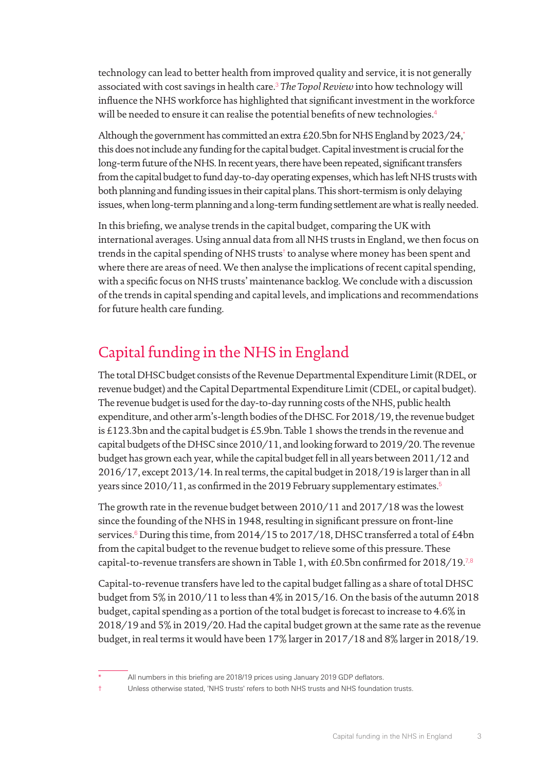technology can lead to better health from improved quality and service, it is not generally associated with cost savings in health care.<sup>3</sup> *The Topol Review* into how technology will influence the NHS workforce has highlighted that significant investment in the workforce will be needed to ensure it can realise the potential benefits of new technologies.<sup>4</sup>

Although the government has committed an extra £20.5bn for NHS England by 2023/24,<sup>\*</sup> this does not include any funding for the capital budget. Capital investment is crucial for the long-term future of the NHS. In recent years, there have been repeated, significant transfers from the capital budget to fund day-to-day operating expenses, which has left NHS trusts with both planning and funding issues in their capital plans. This short-termism is only delaying issues, when long-term planning and a long-term funding settlement are what is really needed.

In this briefing, we analyse trends in the capital budget, comparing the UK with international averages. Using annual data from all NHS trusts in England, we then focus on trends in the capital spending of NHS trusts† to analyse where money has been spent and where there are areas of need. We then analyse the implications of recent capital spending, with a specific focus on NHS trusts' maintenance backlog. We conclude with a discussion of the trends in capital spending and capital levels, and implications and recommendations for future health care funding.

# Capital funding in the NHS in England

The total DHSC budget consists of the Revenue Departmental Expenditure Limit (RDEL, or revenue budget) and the Capital Departmental Expenditure Limit (CDEL, or capital budget). The revenue budget is used for the day-to-day running costs of the NHS, public health expenditure, and other arm's-length bodies of the DHSC. For 2018/19, the revenue budget is £123.3bn and the capital budget is £5.9bn. Table 1 shows the trends in the revenue and capital budgets of the DHSC since 2010/11, and looking forward to 2019/20. The revenue budget has grown each year, while the capital budget fell in all years between 2011/12 and 2016/17, except 2013/14. In real terms, the capital budget in 2018/19 is larger than in all years since 2010/11, as confirmed in the 2019 February supplementary estimates.<sup>5</sup>

The growth rate in the revenue budget between 2010/11 and 2017/18 was the lowest since the founding of the NHS in 1948, resulting in significant pressure on front-line services.<sup>6</sup> During this time, from 2014/15 to 2017/18, DHSC transferred a total of £4bn from the capital budget to the revenue budget to relieve some of this pressure. These capital-to-revenue transfers are shown in Table 1, with £0.5bn confirmed for 2018/19.<sup>7,8</sup>

Capital-to-revenue transfers have led to the capital budget falling as a share of total DHSC budget from 5% in 2010/11 to less than 4% in 2015/16. On the basis of the autumn 2018 budget, capital spending as a portion of the total budget is forecast to increase to 4.6% in 2018/19 and 5% in 2019/20. Had the capital budget grown at the same rate as the revenue budget, in real terms it would have been 17% larger in 2017/18 and 8% larger in 2018/19.

All numbers in this briefing are 2018/19 prices using January 2019 GDP deflators.

<sup>†</sup> Unless otherwise stated, 'NHS trusts' refers to both NHS trusts and NHS foundation trusts.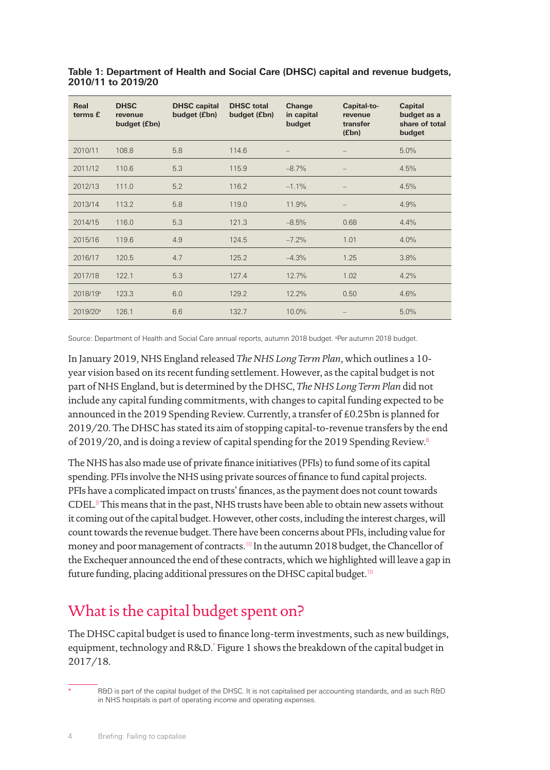| Real<br>terms £      | <b>DHSC</b><br>revenue<br>budget (£bn) | <b>DHSC</b> capital<br>budget (£bn) | <b>DHSC</b> total<br>budget (£bn) | Change<br>in capital<br>budget | Capital-to-<br>revenue<br>transfer<br>(f(bn)) | <b>Capital</b><br>budget as a<br>share of total<br>budget |
|----------------------|----------------------------------------|-------------------------------------|-----------------------------------|--------------------------------|-----------------------------------------------|-----------------------------------------------------------|
| 2010/11              | 108.8                                  | 5.8                                 | 114.6                             |                                |                                               | 5.0%                                                      |
| 2011/12              | 110.6                                  | 5.3                                 | 115.9                             | $-8.7%$                        |                                               | 4.5%                                                      |
| 2012/13              | 111.0                                  | 5.2                                 | 116.2                             | $-1.1%$                        |                                               | 4.5%                                                      |
| 2013/14              | 113.2                                  | 5.8                                 | 119.0                             | 11.9%                          |                                               | 4.9%                                                      |
| 2014/15              | 116.0                                  | 5.3                                 | 121.3                             | $-8.5%$                        | 0.68                                          | 4.4%                                                      |
| 2015/16              | 119.6                                  | 4.9                                 | 124.5                             | $-7.2%$                        | 1.01                                          | 4.0%                                                      |
| 2016/17              | 120.5                                  | 4.7                                 | 125.2                             | $-4.3%$                        | 1.25                                          | 3.8%                                                      |
| 2017/18              | 122.1                                  | 5.3                                 | 127.4                             | 12.7%                          | 1.02                                          | 4.2%                                                      |
| 2018/19 <sup>a</sup> | 123.3                                  | 6.0                                 | 129.2                             | 12.2%                          | 0.50                                          | 4.6%                                                      |
| 2019/20 <sup>a</sup> | 126.1                                  | 6.6                                 | 132.7                             | 10.0%                          |                                               | 5.0%                                                      |

**Table 1: Department of Health and Social Care (DHSC) capital and revenue budgets, 2010/11 to 2019/20**

Source: Department of Health and Social Care annual reports, autumn 2018 budget. <sup>a</sup> Per autumn 2018 budget.

In January 2019, NHS England released *The NHS Long Term Plan*, which outlines a 10 year vision based on its recent funding settlement. However, as the capital budget is not part of NHS England, but is determined by the DHSC, *The NHS Long Term Plan* did not include any capital funding commitments, with changes to capital funding expected to be announced in the 2019 Spending Review. Currently, a transfer of £0.25bn is planned for 2019/20. The DHSC has stated its aim of stopping capital-to-revenue transfers by the end of 2019/20, and is doing a review of capital spending for the 2019 Spending Review.<sup>8</sup>

The NHS has also made use of private finance initiatives (PFIs) to fund some of its capital spending. PFIs involve the NHS using private sources of finance to fund capital projects. PFIs have a complicated impact on trusts' finances, as the payment does not count towards  $\mathrm{CDEL}^9$  This means that in the past, NHS trusts have been able to obtain new assets without it coming out of the capital budget. However, other costs, including the interest charges, will count towards the revenue budget. There have been concerns about PFIs, including value for money and poor management of contracts.<sup>10</sup> In the autumn 2018 budget, the Chancellor of the Exchequer announced the end of these contracts, which we highlighted will leave a gap in future funding, placing additional pressures on the DHSC capital budget.<sup>10</sup>

# What is the capital budget spent on?

The DHSC capital budget is used to finance long-term investments, such as new buildings, equipment, technology and R&D.\* Figure 1 shows the breakdown of the capital budget in 2017/18.

R&D is part of the capital budget of the DHSC. It is not capitalised per accounting standards, and as such R&D in NHS hospitals is part of operating income and operating expenses.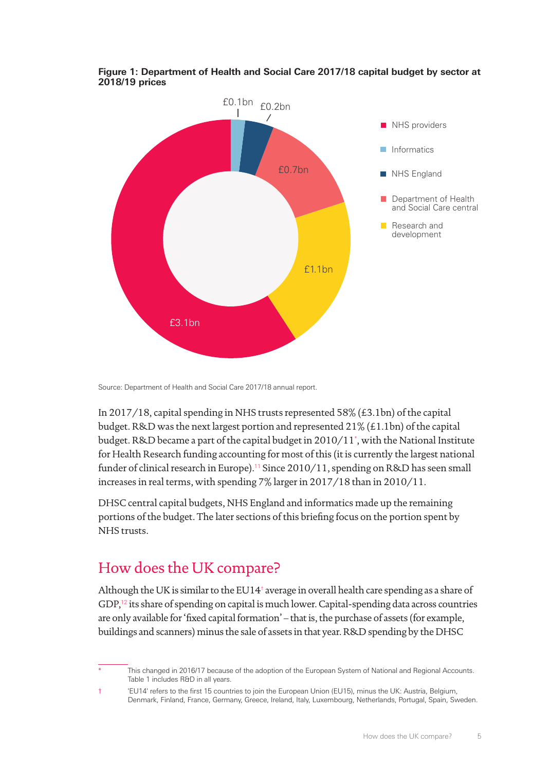

#### **Figure 1: Department of Health and Social Care 2017/18 capital budget by sector at 2018/19 prices**

Source: Department of Health and Social Care 2017/18 annual report.

In 2017/18, capital spending in NHS trusts represented 58% (£3.1bn) of the capital budget. R&D was the next largest portion and represented 21% (£1.1bn) of the capital budget. R&D became a part of the capital budget in 2010/11\* , with the National Institute for Health Research funding accounting for most of this (it is currently the largest national funder of clinical research in Europe).<sup>11</sup> Since 2010/11, spending on R&D has seen small increases in real terms, with spending 7% larger in 2017/18 than in 2010/11.

DHSC central capital budgets, NHS England and informatics made up the remaining portions of the budget. The later sections of this briefing focus on the portion spent by NHS trusts.

# How does the UK compare?

Although the UK is similar to the EU14† average in overall health care spending as a share of GDP,<sup>12</sup> its share of spending on capital is much lower. Capital-spending data across countries are only available for 'fixed capital formation' – that is, the purchase of assets (for example, buildings and scanners) minus the sale of assets in that year. R&D spending by the DHSC

† 'EU14' refers to the first 15 countries to join the European Union (EU15), minus the UK: Austria, Belgium, Denmark, Finland, France, Germany, Greece, Ireland, Italy, Luxembourg, Netherlands, Portugal, Spain, Sweden.

This changed in 2016/17 because of the adoption of the European System of National and Regional Accounts. Table 1 includes R&D in all years.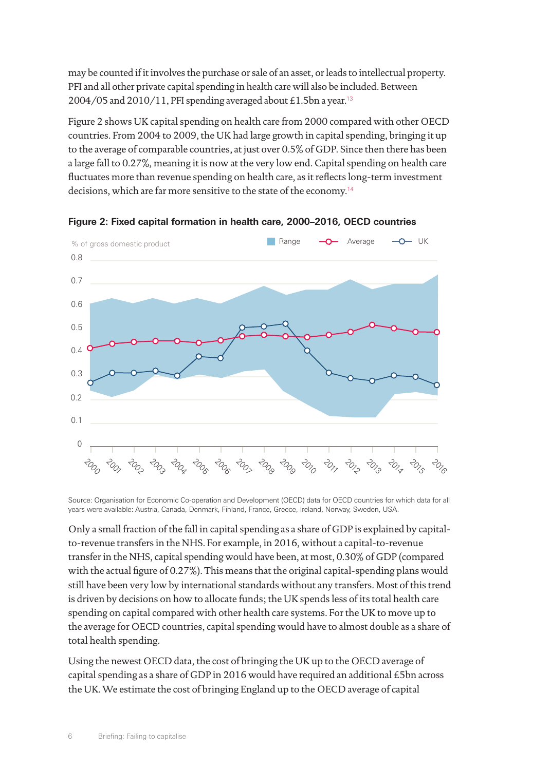may be counted if it involves the purchase or sale of an asset, or leads to intellectual property. PFI and all other private capital spending in health care will also be included. Between 2004/05 and 2010/11, PFI spending averaged about £1.5bn a year.<sup>13</sup>

Figure 2 shows UK capital spending on health care from 2000 compared with other OECD countries. From 2004 to 2009, the UK had large growth in capital spending, bringing it up to the average of comparable countries, at just over 0.5% of GDP. Since then there has been a large fall to 0.27%, meaning it is now at the very low end. Capital spending on health care fluctuates more than revenue spending on health care, as it reflects long-term investment decisions, which are far more sensitive to the state of the economy.<sup>14</sup>



**Figure 2: Fixed capital formation in health care, 2000–2016, OECD countries**

Source: Organisation for Economic Co-operation and Development (OECD) data for OECD countries for which data for all years were available: Austria, Canada, Denmark, Finland, France, Greece, Ireland, Norway, Sweden, USA.

Only a small fraction of the fall in capital spending as a share of GDP is explained by capitalto-revenue transfers in the NHS. For example, in 2016, without a capital-to-revenue transfer in the NHS, capital spending would have been, at most, 0.30% of GDP (compared with the actual figure of 0.27%). This means that the original capital-spending plans would still have been very low by international standards without any transfers. Most of this trend is driven by decisions on how to allocate funds; the UK spends less of its total health care spending on capital compared with other health care systems. For the UK to move up to the average for OECD countries, capital spending would have to almost double as a share of total health spending.

Using the newest OECD data, the cost of bringing the UK up to the OECD average of capital spending as a share of GDP in 2016 would have required an additional £5bn across the UK. We estimate the cost of bringing England up to the OECD average of capital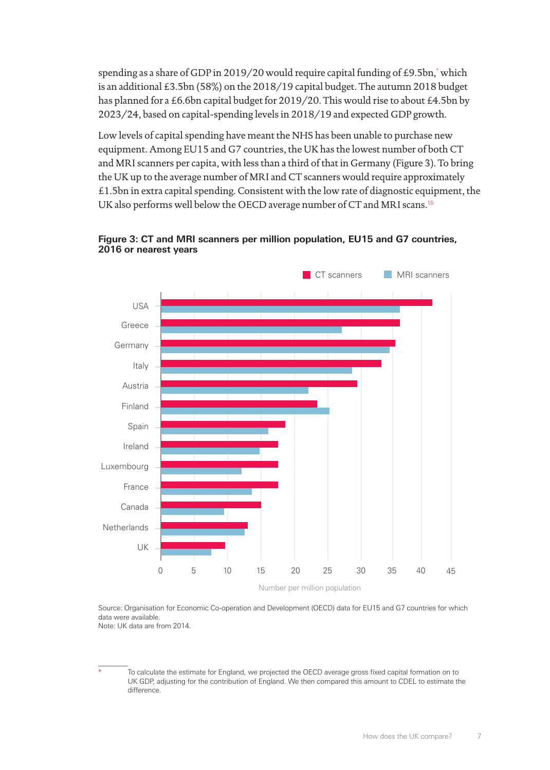spending as a share of GDP in 2019/20 would require capital funding of £9.5bn,\* which is an additional £3.5bn (58%) on the 2018/19 capital budget. The autumn 2018 budget has planned for a £6.6bn capital budget for 2019/20. This would rise to about £4.5bn by 2023/24, based on capital-spending levels in 2018/19 and expected GDP growth.

Low levels of capital spending have meant the NHS has been unable to purchase new equipment. Among EU15 and G7 countries, the UK has the lowest number of both CT and MRI scanners per capita, with less than a third of that in Germany (Figure 3). To bring the UK up to the average number of MRI and CT scanners would require approximately £1.5bn in extra capital spending. Consistent with the low rate of diagnostic equipment, the UK also performs well below the OECD average number of CT and MRI scans.<sup>15</sup>



#### **Figure 3: CT and MRI scanners per million population, EU15 and G7 countries, 2016 or nearest years**

Source: Organisation for Economic Co-operation and Development (OECD) data for EU15 and G7 countries for which data were available.

Note: UK data are from 2014.

To calculate the estimate for England, we projected the OECD average gross fixed capital formation on to UK GDP, adjusting for the contribution of England. We then compared this amount to CDEL to estimate the difference.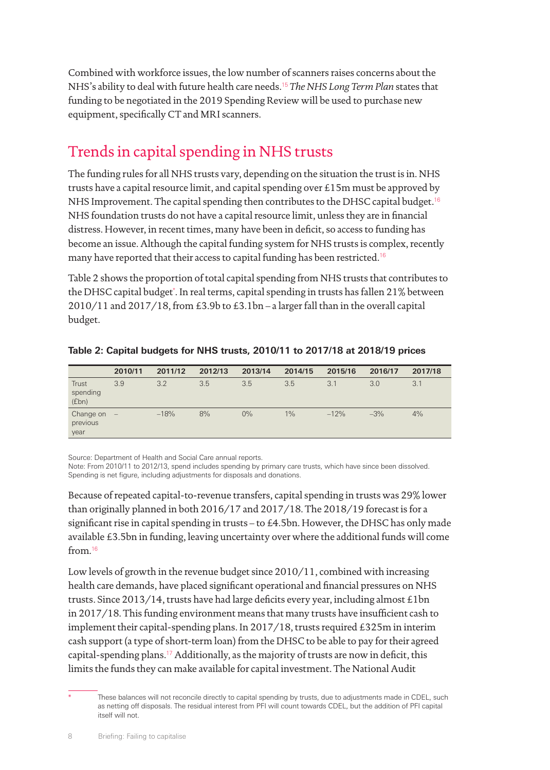Combined with workforce issues, the low number of scanners raises concerns about the NHS's ability to deal with future health care needs.<sup>15</sup> *The NHS Long Term Plan* states that funding to be negotiated in the 2019 Spending Review will be used to purchase new equipment, specifically CT and MRI scanners.

# Trends in capital spending in NHS trusts

The funding rules for all NHS trusts vary, depending on the situation the trust is in. NHS trusts have a capital resource limit, and capital spending over £15m must be approved by NHS Improvement. The capital spending then contributes to the DHSC capital budget.<sup>16</sup> NHS foundation trusts do not have a capital resource limit, unless they are in financial distress. However, in recent times, many have been in deficit, so access to funding has become an issue. Although the capital funding system for NHS trusts is complex, recently many have reported that their access to capital funding has been restricted.<sup>16</sup>

Table 2 shows the proportion of total capital spending from NHS trusts that contributes to the DHSC capital budget\*. In real terms, capital spending in trusts has fallen 21% between 2010/11 and 2017/18, from £3.9b to £3.1bn – a larger fall than in the overall capital budget.

|                               | 2010/11 | 2011/12 | 2012/13 | 2013/14 | 2014/15 | 2015/16 | 2016/17 | 2017/18 |
|-------------------------------|---------|---------|---------|---------|---------|---------|---------|---------|
| Trust<br>spending<br>(fbn)    | 3.9     | 3.2     | 3.5     | 3.5     | 3.5     | 3.1     | 3.0     | 3.1     |
| Change on<br>previous<br>year | $\sim$  | $-18%$  | 8%      | $0\%$   | 1%      | $-12%$  | $-3%$   | 4%      |

|  |  | Table 2: Capital budgets for NHS trusts, 2010/11 to 2017/18 at 2018/19 prices |  |  |  |
|--|--|-------------------------------------------------------------------------------|--|--|--|
|  |  |                                                                               |  |  |  |

Source: Department of Health and Social Care annual reports.

Note: From 2010/11 to 2012/13, spend includes spending by primary care trusts, which have since been dissolved. Spending is net figure, including adjustments for disposals and donations.

Because of repeated capital-to-revenue transfers, capital spending in trusts was 29% lower than originally planned in both 2016/17 and 2017/18. The 2018/19 forecast is for a significant rise in capital spending in trusts – to £4.5bn. However, the DHSC has only made available £3.5bn in funding, leaving uncertainty over where the additional funds will come from.<sup>16</sup>

Low levels of growth in the revenue budget since 2010/11, combined with increasing health care demands, have placed significant operational and financial pressures on NHS trusts. Since 2013/14, trusts have had large deficits every year, including almost £1bn in 2017/18. This funding environment means that many trusts have insufficient cash to implement their capital-spending plans. In 2017/18, trusts required £325m in interim cash support (a type of short-term loan) from the DHSC to be able to pay for their agreed capital-spending plans.<sup>17</sup> Additionally, as the majority of trusts are now in deficit, this limits the funds they can make available for capital investment. The National Audit

These balances will not reconcile directly to capital spending by trusts, due to adjustments made in CDEL, such as netting off disposals. The residual interest from PFI will count towards CDEL, but the addition of PFI capital itself will not.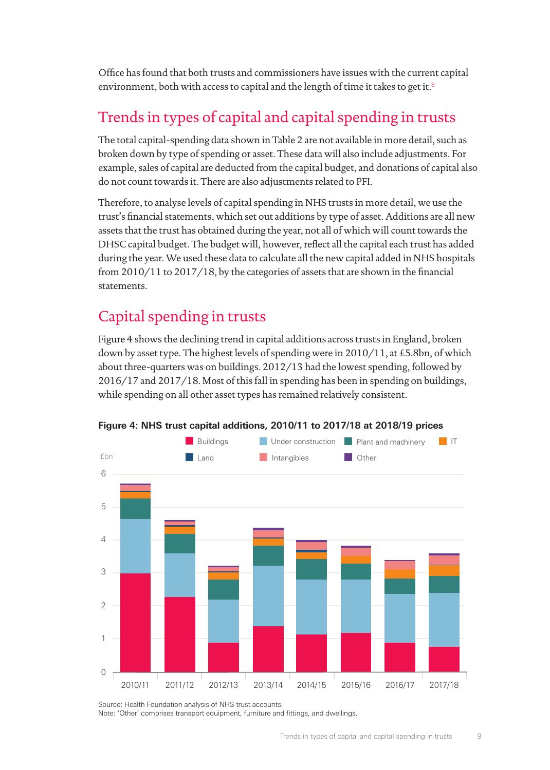Office has found that both trusts and commissioners have issues with the current capital environment, both with access to capital and the length of time it takes to get it.<sup>8</sup>

# Trends in types of capital and capital spending in trusts

The total capital-spending data shown in Table 2 are not available in more detail, such as broken down by type of spending or asset. These data will also include adjustments. For example, sales of capital are deducted from the capital budget, and donations of capital also do not count towards it. There are also adjustments related to PFI.

Therefore, to analyse levels of capital spending in NHS trusts in more detail, we use the trust's financial statements, which set out additions by type of asset. Additions are all new assets that the trust has obtained during the year, not all of which will count towards the DHSC capital budget. The budget will, however, reflect all the capital each trust has added during the year. We used these data to calculate all the new capital added in NHS hospitals from 2010/11 to 2017/18, by the categories of assets that are shown in the financial statements.

# Capital spending in trusts

Figure 4 shows the declining trend in capital additions across trusts in England, broken down by asset type. The highest levels of spending were in 2010/11, at £5.8bn, of which about three-quarters was on buildings. 2012/13 had the lowest spending, followed by 2016/17 and 2017/18. Most of this fall in spending has been in spending on buildings, while spending on all other asset types has remained relatively consistent.



**Figure 4: NHS trust capital additions, 2010/11 to 2017/18 at 2018/19 prices**

Source: Health Foundation analysis of NHS trust accounts. Note: 'Other' comprises transport equipment, furniture and fittings, and dwellings.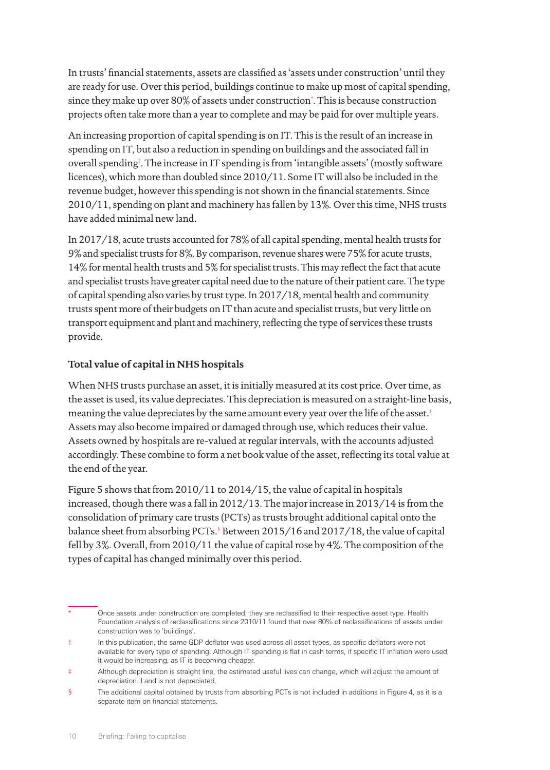In trusts' financial statements, assets are classified as 'assets under construction' until they are ready for use. Over this period, buildings continue to make up most of capital spending, since they make up over 80% of assets under construction\* . This is because construction projects often take more than a year to complete and may be paid for over multiple years.

An increasing proportion of capital spending is on IT. This is the result of an increase in spending on IT, but also a reduction in spending on buildings and the associated fall in overall spending† . The increase in IT spending is from 'intangible assets' (mostly software licences), which more than doubled since 2010/11. Some IT will also be included in the revenue budget, however this spending is not shown in the financial statements. Since 2010/11, spending on plant and machinery has fallen by 13%. Over this time, NHS trusts have added minimal new land.

In 2017/18, acute trusts accounted for 78% of all capital spending, mental health trusts for 9% and specialist trusts for 8%. By comparison, revenue shares were 75% for acute trusts, 14% for mental health trusts and 5% for specialist trusts. This may reflect the fact that acute and specialist trusts have greater capital need due to the nature of their patient care. The type of capital spending also varies by trust type. In 2017/18, mental health and community trusts spent more of their budgets on IT than acute and specialist trusts, but very little on transport equipment and plant and machinery, reflecting the type of services these trusts provide.

#### **Total value of capital in NHS hospitals**

When NHS trusts purchase an asset, it is initially measured at its cost price. Over time, as the asset is used, its value depreciates. This depreciation is measured on a straight-line basis, meaning the value depreciates by the same amount every year over the life of the asset.<sup>‡</sup> Assets may also become impaired or damaged through use, which reduces their value. Assets owned by hospitals are re-valued at regular intervals, with the accounts adjusted accordingly. These combine to form a net book value of the asset, reflecting its total value at the end of the year.

Figure 5 shows that from 2010/11 to 2014/15, the value of capital in hospitals increased, though there was a fall in 2012/13. The major increase in 2013/14 is from the consolidation of primary care trusts (PCTs) as trusts brought additional capital onto the balance sheet from absorbing PCTs.§Between 2015/16 and 2017/18, the value of capital fell by 3%. Overall, from 2010/11 the value of capital rose by 4%. The composition of the types of capital has changed minimally over this period.

Once assets under construction are completed, they are reclassified to their respective asset type. Health Foundation analysis of reclassifications since 2010/11 found that over 80% of reclassifications of assets under construction was to 'buildings'.

<sup>†</sup> In this publication, the same GDP deflator was used across all asset types, as specific deflators were not available for every type of spending. Although IT spending is flat in cash terms, if specific IT inflation were used, it would be increasing, as IT is becoming cheaper.

<sup>‡</sup> Although depreciation is straight line, the estimated useful lives can change, which will adjust the amount of depreciation. Land is not depreciated.

<sup>§</sup> The additional capital obtained by trusts from absorbing PCTs is not included in additions in Figure 4, as it is a separate item on financial statements.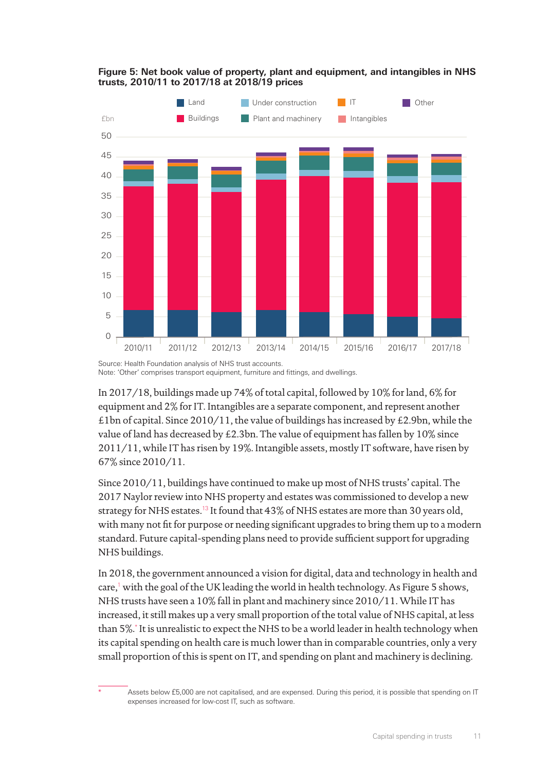

#### **Figure 5: Net book value of property, plant and equipment, and intangibles in NHS trusts, 2010/11 to 2017/18 at 2018/19 prices**

Source: Health Foundation analysis of NHS trust accounts. Note: 'Other' comprises transport equipment, furniture and fittings, and dwellings.

In 2017/18, buildings made up 74% of total capital, followed by 10% for land, 6% for equipment and 2% for IT. Intangibles are a separate component, and represent another £1bn of capital. Since 2010/11, the value of buildings has increased by £2.9bn, while the value of land has decreased by £2.3bn. The value of equipment has fallen by 10% since 2011/11, while IT has risen by 19%. Intangible assets, mostly IT software, have risen by 67% since 2010/11.

Since 2010/11, buildings have continued to make up most of NHS trusts' capital. The 2017 Naylor review into NHS property and estates was commissioned to develop a new strategy for NHS estates.<sup>13</sup> It found that 43% of NHS estates are more than 30 years old, with many not fit for purpose or needing significant upgrades to bring them up to a modern standard. Future capital-spending plans need to provide sufficient support for upgrading NHS buildings.

In 2018, the government announced a vision for digital, data and technology in health and care,<sup>1</sup> with the goal of the UK leading the world in health technology. As Figure 5 shows, NHS trusts have seen a 10% fall in plant and machinery since 2010/11. While IT has increased, it still makes up a very small proportion of the total value of NHS capital, at less than 5%.\* It is unrealistic to expect the NHS to be a world leader in health technology when its capital spending on health care is much lower than in comparable countries, only a very small proportion of this is spent on IT, and spending on plant and machinery is declining.

Assets below £5,000 are not capitalised, and are expensed. During this period, it is possible that spending on IT expenses increased for low-cost IT, such as software.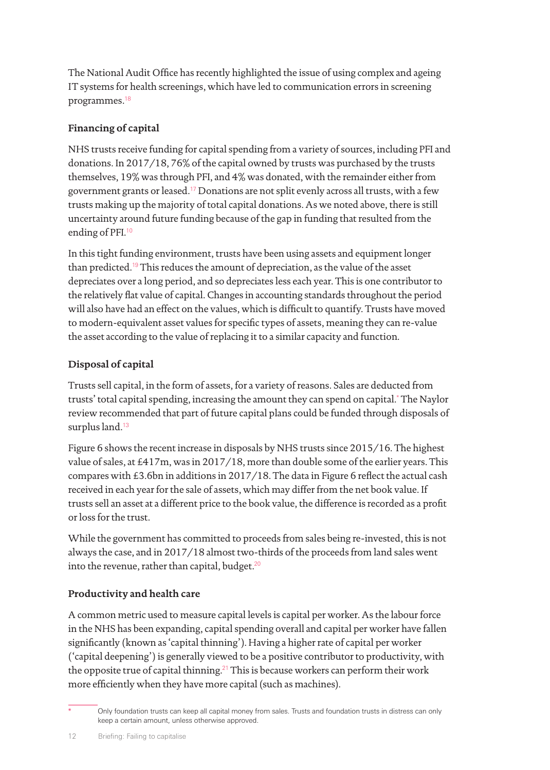The National Audit Office has recently highlighted the issue of using complex and ageing IT systems for health screenings, which have led to communication errors in screening programmes.<sup>18</sup>

## **Financing of capital**

NHS trusts receive funding for capital spending from a variety of sources, including PFI and donations. In 2017/18, 76% of the capital owned by trusts was purchased by the trusts themselves, 19% was through PFI, and 4% was donated, with the remainder either from government grants or leased.<sup>17</sup> Donations are not split evenly across all trusts, with a few trusts making up the majority of total capital donations. As we noted above, there is still uncertainty around future funding because of the gap in funding that resulted from the ending of PFI.<sup>10</sup>

In this tight funding environment, trusts have been using assets and equipment longer than predicted.<sup>19</sup> This reduces the amount of depreciation, as the value of the asset depreciates over a long period, and so depreciates less each year. This is one contributor to the relatively flat value of capital. Changes in accounting standards throughout the period will also have had an effect on the values, which is difficult to quantify. Trusts have moved to modern-equivalent asset values for specific types of assets, meaning they can re-value the asset according to the value of replacing it to a similar capacity and function.

## **Disposal of capital**

Trusts sell capital, in the form of assets, for a variety of reasons. Sales are deducted from trusts' total capital spending, increasing the amount they can spend on capital.\* The Naylor review recommended that part of future capital plans could be funded through disposals of surplus land.<sup>13</sup>

Figure 6 shows the recent increase in disposals by NHS trusts since 2015/16. The highest value of sales, at £417m, was in 2017/18, more than double some of the earlier years. This compares with £3.6bn in additions in 2017/18. The data in Figure 6 reflect the actual cash received in each year for the sale of assets, which may differ from the net book value. If trusts sell an asset at a different price to the book value, the difference is recorded as a profit or loss for the trust.

While the government has committed to proceeds from sales being re-invested, this is not always the case, and in 2017/18 almost two-thirds of the proceeds from land sales went into the revenue, rather than capital, budget. $20$ 

## **Productivity and health care**

A common metric used to measure capital levels is capital per worker. As the labour force in the NHS has been expanding, capital spending overall and capital per worker have fallen significantly (known as 'capital thinning'). Having a higher rate of capital per worker ('capital deepening') is generally viewed to be a positive contributor to productivity, with the opposite true of capital thinning.<sup>21</sup> This is because workers can perform their work more efficiently when they have more capital (such as machines).

Only foundation trusts can keep all capital money from sales. Trusts and foundation trusts in distress can only keep a certain amount, unless otherwise approved.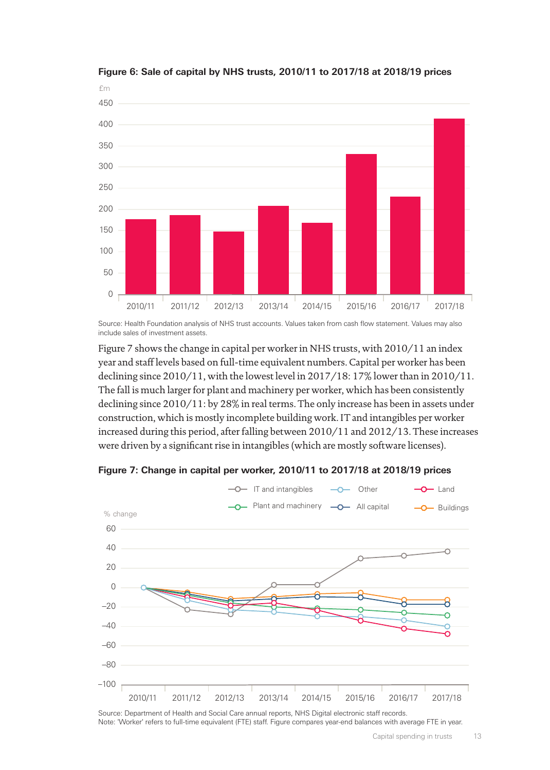

#### **Figure 6: Sale of capital by NHS trusts, 2010/11 to 2017/18 at 2018/19 prices**

Source: Health Foundation analysis of NHS trust accounts. Values taken from cash flow statement. Values may also include sales of investment assets.

Figure 7 shows the change in capital per worker in NHS trusts, with 2010/11 an index year and staff levels based on full-time equivalent numbers. Capital per worker has been declining since 2010/11, with the lowest level in 2017/18: 17% lower than in 2010/11. The fall is much larger for plant and machinery per worker, which has been consistently declining since 2010/11: by 28% in real terms. The only increase has been in assets under construction, which is mostly incomplete building work. IT and intangibles per worker increased during this period, after falling between 2010/11 and 2012/13. These increases were driven by a significant rise in intangibles (which are mostly software licenses).

**Figure 7: Change in capital per worker, 2010/11 to 2017/18 at 2018/19 prices**



Source: Department of Health and Social Care annual reports, NHS Digital electronic staff records. Note: 'Worker' refers to full-time equivalent (FTE) staff. Figure compares year-end balances with average FTE in year.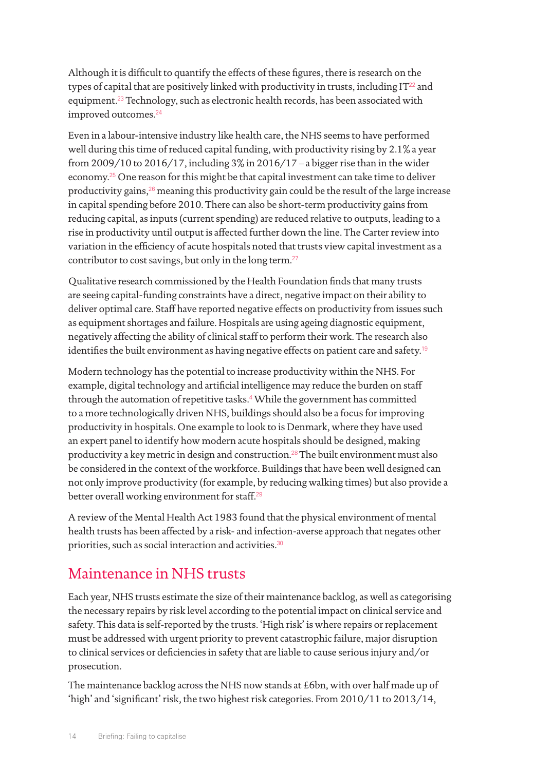Although it is difficult to quantify the effects of these figures, there is research on the types of capital that are positively linked with productivity in trusts, including  $IT^{22}$  and equipment.<sup>23</sup> Technology, such as electronic health records, has been associated with improved outcomes.<sup>24</sup>

Even in a labour-intensive industry like health care, the NHS seems to have performed well during this time of reduced capital funding, with productivity rising by 2.1% a year from 2009/10 to 2016/17, including 3% in 2016/17 – a bigger rise than in the wider economy.<sup>25</sup> One reason for this might be that capital investment can take time to deliver productivity gains, $26$  meaning this productivity gain could be the result of the large increase in capital spending before 2010. There can also be short-term productivity gains from reducing capital, as inputs (current spending) are reduced relative to outputs, leading to a rise in productivity until output is affected further down the line. The Carter review into variation in the efficiency of acute hospitals noted that trusts view capital investment as a contributor to cost savings, but only in the long term.<sup>27</sup>

Qualitative research commissioned by the Health Foundation finds that many trusts are seeing capital-funding constraints have a direct, negative impact on their ability to deliver optimal care. Staff have reported negative effects on productivity from issues such as equipment shortages and failure. Hospitals are using ageing diagnostic equipment, negatively affecting the ability of clinical staff to perform their work. The research also identifies the built environment as having negative effects on patient care and safety.<sup>19</sup>

Modern technology has the potential to increase productivity within the NHS. For example, digital technology and artificial intelligence may reduce the burden on staff through the automation of repetitive tasks.<sup>4</sup> While the government has committed to a more technologically driven NHS, buildings should also be a focus for improving productivity in hospitals. One example to look to is Denmark, where they have used an expert panel to identify how modern acute hospitals should be designed, making productivity a key metric in design and construction.<sup>28</sup>The built environment must also be considered in the context of the workforce. Buildings that have been well designed can not only improve productivity (for example, by reducing walking times) but also provide a better overall working environment for staff.<sup>29</sup>

A review of the Mental Health Act 1983 found that the physical environment of mental health trusts has been affected by a risk- and infection-averse approach that negates other priorities, such as social interaction and activities.<sup>30</sup>

## Maintenance in NHS trusts

Each year, NHS trusts estimate the size of their maintenance backlog, as well as categorising the necessary repairs by risk level according to the potential impact on clinical service and safety. This data is self-reported by the trusts. 'High risk' is where repairs or replacement must be addressed with urgent priority to prevent catastrophic failure, major disruption to clinical services or deficiencies in safety that are liable to cause serious injury and/or prosecution.

The maintenance backlog across the NHS now stands at £6bn, with over half made up of 'high' and 'significant' risk, the two highest risk categories. From 2010/11 to 2013/14,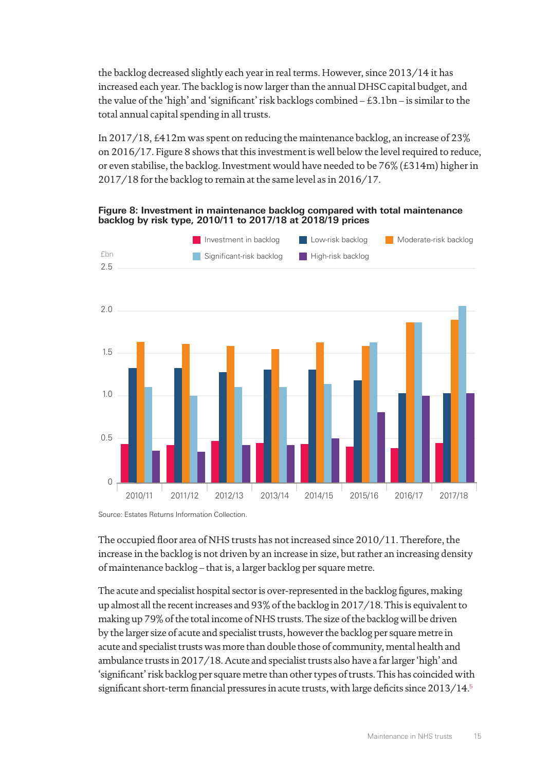the backlog decreased slightly each year in real terms. However, since 2013/14 it has increased each year. The backlog is now larger than the annual DHSC capital budget, and the value of the 'high' and 'significant' risk backlogs combined – £3.1bn – is similar to the total annual capital spending in all trusts.

In 2017/18, £412m was spent on reducing the maintenance backlog, an increase of 23% on 2016/17. Figure 8 shows that this investment is well below the level required to reduce, or even stabilise, the backlog. Investment would have needed to be 76% (£314m) higher in 2017/18 for the backlog to remain at the same level as in 2016/17.

**Figure 8: Investment in maintenance backlog compared with total maintenance backlog by risk type, 2010/11 to 2017/18 at 2018/19 prices**



Source: Estates Returns Information Collection.

The occupied floor area of NHS trusts has not increased since 2010/11. Therefore, the increase in the backlog is not driven by an increase in size, but rather an increasing density of maintenance backlog – that is, a larger backlog per square metre.

The acute and specialist hospital sector is over-represented in the backlog figures, making up almost all the recent increases and 93% of the backlog in 2017/18. This is equivalent to making up 79% of the total income of NHS trusts. The size of the backlog will be driven by the larger size of acute and specialist trusts, however the backlog per square metre in acute and specialist trusts was more than double those of community, mental health and ambulance trusts in 2017/18. Acute and specialist trusts also have a far larger 'high' and 'significant' risk backlog per square metre than other types of trusts. This has coincided with significant short-term financial pressures in acute trusts, with large deficits since  $2013/14<sup>5</sup>$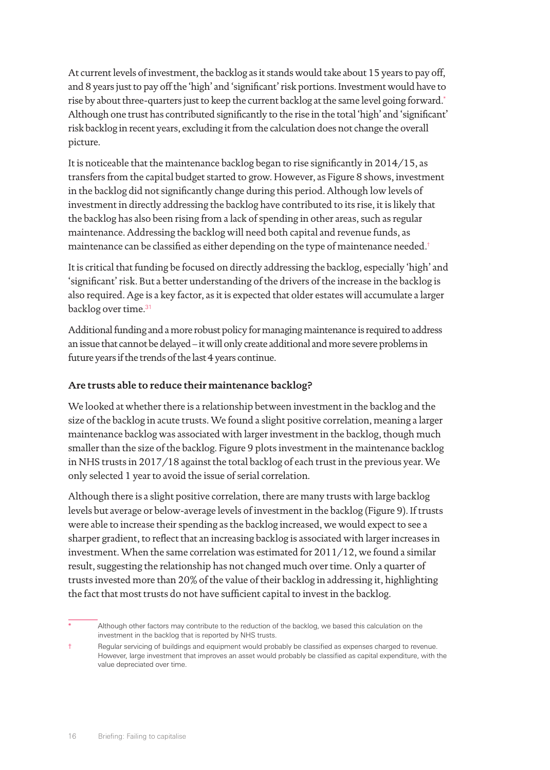At current levels of investment, the backlog as it stands would take about 15 years to pay off, and 8 years just to pay off the 'high' and 'significant' risk portions. Investment would have to rise by about three-quarters just to keep the current backlog at the same level going forward.\* Although one trust has contributed significantly to the rise in the total 'high' and 'significant' risk backlog in recent years, excluding it from the calculation does not change the overall picture.

It is noticeable that the maintenance backlog began to rise significantly in 2014/15, as transfers from the capital budget started to grow. However, as Figure 8 shows, investment in the backlog did not significantly change during this period. Although low levels of investment in directly addressing the backlog have contributed to its rise, it is likely that the backlog has also been rising from a lack of spending in other areas, such as regular maintenance. Addressing the backlog will need both capital and revenue funds, as maintenance can be classified as either depending on the type of maintenance needed.†

It is critical that funding be focused on directly addressing the backlog, especially 'high' and 'significant' risk. But a better understanding of the drivers of the increase in the backlog is also required. Age is a key factor, as it is expected that older estates will accumulate a larger backlog over time.<sup>31</sup>

Additional funding and a more robust policy for managing maintenance is required to address an issue that cannot be delayed – it will only create additional and more severe problems in future years if the trends of the last 4 years continue.

## **Are trusts able to reduce their maintenance backlog?**

We looked at whether there is a relationship between investment in the backlog and the size of the backlog in acute trusts. We found a slight positive correlation, meaning a larger maintenance backlog was associated with larger investment in the backlog, though much smaller than the size of the backlog. Figure 9 plots investment in the maintenance backlog in NHS trusts in 2017/18 against the total backlog of each trust in the previous year. We only selected 1 year to avoid the issue of serial correlation.

Although there is a slight positive correlation, there are many trusts with large backlog levels but average or below-average levels of investment in the backlog (Figure 9). If trusts were able to increase their spending as the backlog increased, we would expect to see a sharper gradient, to reflect that an increasing backlog is associated with larger increases in investment. When the same correlation was estimated for  $2011/12$ , we found a similar result, suggesting the relationship has not changed much over time. Only a quarter of trusts invested more than 20% of the value of their backlog in addressing it, highlighting the fact that most trusts do not have sufficient capital to invest in the backlog.

Although other factors may contribute to the reduction of the backlog, we based this calculation on the investment in the backlog that is reported by NHS trusts.

<sup>†</sup> Regular servicing of buildings and equipment would probably be classified as expenses charged to revenue. However, large investment that improves an asset would probably be classified as capital expenditure, with the value depreciated over time.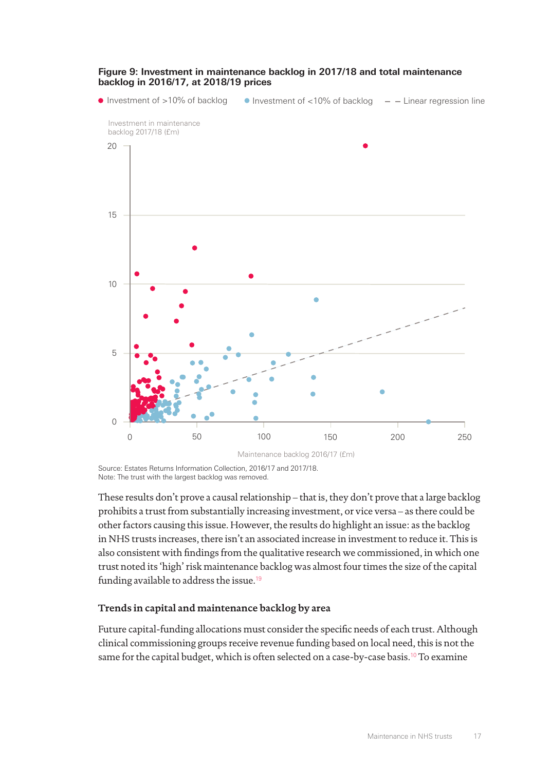

#### **Figure 9: Investment in maintenance backlog in 2017/18 and total maintenance backlog in 2016/17, at 2018/19 prices**

Source: Estates Returns Information Collection, 2016/17 and 2017/18. Note: The trust with the largest backlog was removed.

These results don't prove a causal relationship – that is, they don't prove that a large backlog prohibits a trust from substantially increasing investment, or vice versa – as there could be other factors causing this issue. However, the results do highlight an issue: as the backlog in NHS trusts increases, there isn't an associated increase in investment to reduce it. This is also consistent with findings from the qualitative research we commissioned, in which one trust noted its 'high' risk maintenance backlog was almost four times the size of the capital funding available to address the issue.<sup>19</sup>

## **Trends in capital and maintenance backlog by area**

Future capital-funding allocations must consider the specific needs of each trust. Although clinical commissioning groups receive revenue funding based on local need, this is not the same for the capital budget, which is often selected on a case-by-case basis.<sup>10</sup> To examine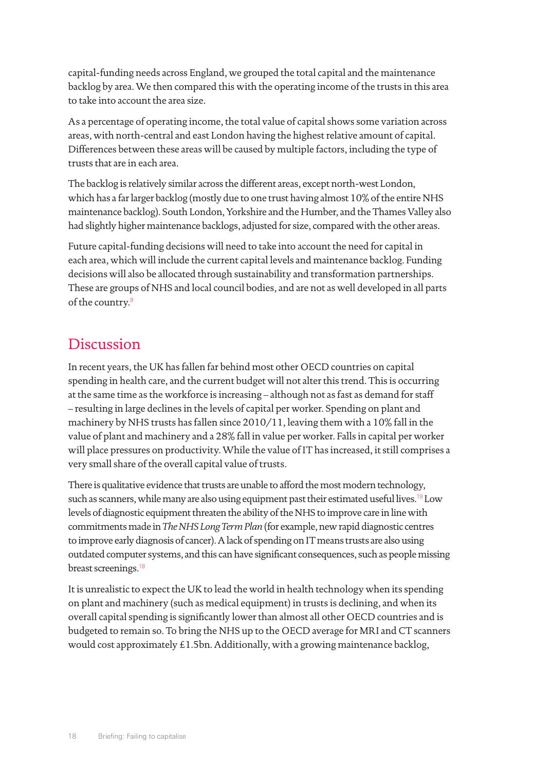capital-funding needs across England, we grouped the total capital and the maintenance backlog by area. We then compared this with the operating income of the trusts in this area to take into account the area size.

As a percentage of operating income, the total value of capital shows some variation across areas, with north-central and east London having the highest relative amount of capital. Differences between these areas will be caused by multiple factors, including the type of trusts that are in each area.

The backlog is relatively similar across the different areas, except north-west London, which has a far larger backlog (mostly due to one trust having almost 10% of the entire NHS maintenance backlog). South London, Yorkshire and the Humber, and the Thames Valley also had slightly higher maintenance backlogs, adjusted for size, compared with the other areas.

Future capital-funding decisions will need to take into account the need for capital in each area, which will include the current capital levels and maintenance backlog. Funding decisions will also be allocated through sustainability and transformation partnerships. These are groups of NHS and local council bodies, and are not as well developed in all parts of the country.<sup>9</sup>

## Discussion

In recent years, the UK has fallen far behind most other OECD countries on capital spending in health care, and the current budget will not alter this trend. This is occurring at the same time as the workforce is increasing – although not as fast as demand for staff – resulting in large declines in the levels of capital per worker. Spending on plant and machinery by NHS trusts has fallen since 2010/11, leaving them with a 10% fall in the value of plant and machinery and a 28% fall in value per worker. Falls in capital per worker will place pressures on productivity. While the value of IT has increased, it still comprises a very small share of the overall capital value of trusts.

There is qualitative evidence that trusts are unable to afford the most modern technology, such as scanners, while many are also using equipment past their estimated useful lives.<sup>19</sup> Low levels of diagnostic equipment threaten the ability of the NHS to improve care in line with commitments made in *The NHS Long Term Plan* (for example, new rapid diagnostic centres to improve early diagnosis of cancer). A lack of spending on IT means trusts are also using outdated computer systems, and this can have significant consequences, such as people missing breast screenings.<sup>18</sup>

It is unrealistic to expect the UK to lead the world in health technology when its spending on plant and machinery (such as medical equipment) in trusts is declining, and when its overall capital spending is significantly lower than almost all other OECD countries and is budgeted to remain so. To bring the NHS up to the OECD average for MRI and CT scanners would cost approximately £1.5bn. Additionally, with a growing maintenance backlog,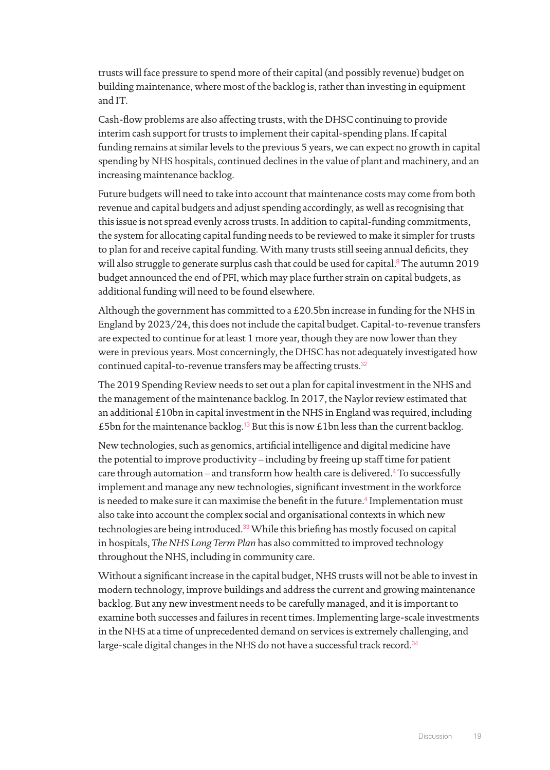trusts will face pressure to spend more of their capital (and possibly revenue) budget on building maintenance, where most of the backlog is, rather than investing in equipment and IT.

Cash-flow problems are also affecting trusts, with the DHSC continuing to provide interim cash support for trusts to implement their capital-spending plans. If capital funding remains at similar levels to the previous 5 years, we can expect no growth in capital spending by NHS hospitals, continued declines in the value of plant and machinery, and an increasing maintenance backlog.

Future budgets will need to take into account that maintenance costs may come from both revenue and capital budgets and adjust spending accordingly, as well as recognising that this issue is not spread evenly across trusts. In addition to capital-funding commitments, the system for allocating capital funding needs to be reviewed to make it simpler for trusts to plan for and receive capital funding. With many trusts still seeing annual deficits, they will also struggle to generate surplus cash that could be used for capital.<sup>8</sup> The autumn 2019 budget announced the end of PFI, which may place further strain on capital budgets, as additional funding will need to be found elsewhere.

Although the government has committed to a £20.5bn increase in funding for the NHS in England by 2023/24, this does not include the capital budget. Capital-to-revenue transfers are expected to continue for at least 1 more year, though they are now lower than they were in previous years. Most concerningly, the DHSC has not adequately investigated how continued capital-to-revenue transfers may be affecting trusts.<sup>32</sup>

The 2019 Spending Review needs to set out a plan for capital investment in the NHS and the management of the maintenance backlog. In 2017, the Naylor review estimated that an additional £10bn in capital investment in the NHS in England was required, including £5bn for the maintenance backlog.<sup>13</sup> But this is now £1bn less than the current backlog.

New technologies, such as genomics, artificial intelligence and digital medicine have the potential to improve productivity – including by freeing up staff time for patient care through automation – and transform how health care is delivered.<sup>4</sup> To successfully implement and manage any new technologies, significant investment in the workforce is needed to make sure it can maximise the benefit in the future. $\rm ^4$  Implementation must also take into account the complex social and organisational contexts in which new technologies are being introduced.<sup>33</sup> While this briefing has mostly focused on capital in hospitals, *The NHS Long Term Plan* has also committed to improved technology throughout the NHS, including in community care.

Without a significant increase in the capital budget, NHS trusts will not be able to invest in modern technology, improve buildings and address the current and growing maintenance backlog. But any new investment needs to be carefully managed, and it is important to examine both successes and failures in recent times. Implementing large-scale investments in the NHS at a time of unprecedented demand on services is extremely challenging, and large-scale digital changes in the NHS do not have a successful track record.<sup>34</sup>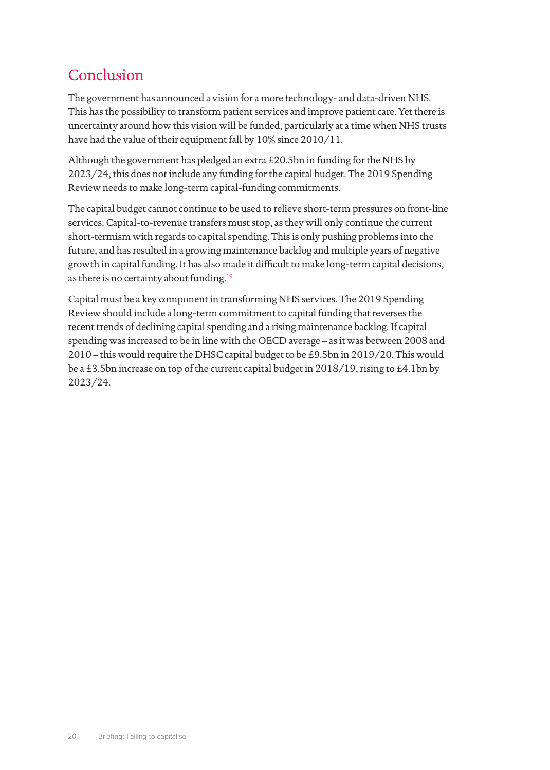## Conclusion

The government has announced a vision for a more technology- and data-driven NHS. This has the possibility to transform patient services and improve patient care. Yet there is uncertainty around how this vision will be funded, particularly at a time when NHS trusts have had the value of their equipment fall by 10% since 2010/11.

Although the government has pledged an extra £20.5bn in funding for the NHS by 2023/24, this does not include any funding for the capital budget. The 2019 Spending Review needs to make long-term capital-funding commitments.

The capital budget cannot continue to be used to relieve short-term pressures on front-line services. Capital-to-revenue transfers must stop, as they will only continue the current short-termism with regards to capital spending. This is only pushing problems into the future, and has resulted in a growing maintenance backlog and multiple years of negative growth in capital funding. It has also made it difficult to make long-term capital decisions, as there is no certainty about funding.<sup>19</sup>

Capital must be a key component in transforming NHS services. The 2019 Spending Review should include a long-term commitment to capital funding that reverses the recent trends of declining capital spending and a rising maintenance backlog. If capital spending was increased to be in line with the OECD average – as it was between 2008 and 2010 – this would require the DHSC capital budget to be £9.5bn in 2019/20. This would be a £3.5bn increase on top of the current capital budget in 2018/19, rising to £4.1bn by 2023/24.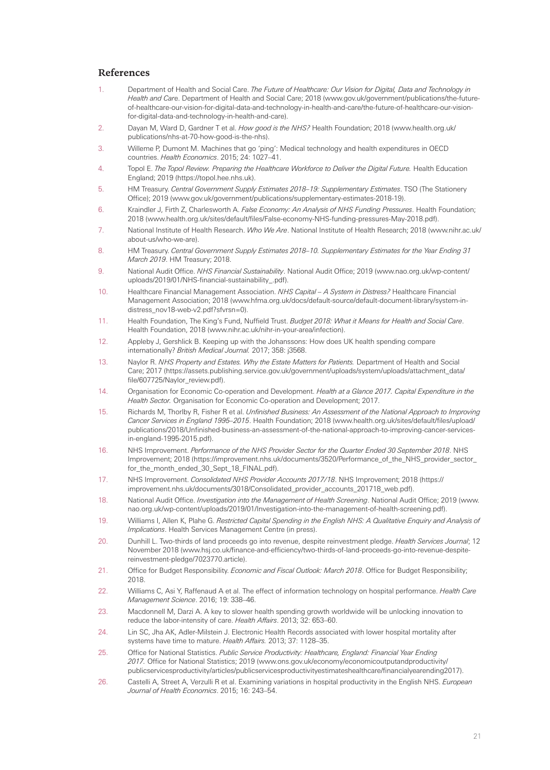#### **References**

- 1. Department of Health and Social Care. *The Future of Healthcare: Our Vision for Digital, Data and Technology in Health and Car*e. Department of Health and Social Care; 2018 (www.gov.uk/government/publications/the-futureof-healthcare-our-vision-for-digital-data-and-technology-in-health-and-care/the-future-of-healthcare-our-visionfor-digital-data-and-technology-in-health-and-care).
- 2. Dayan M, Ward D, Gardner T et al. *How good is the NHS?* Health Foundation; 2018 (www.health.org.uk/ publications/nhs-at-70-how-good-is-the-nhs).
- 3. Willeme P, Dumont M. Machines that go 'ping': Medical technology and health expenditures in OECD countries. *Health Economics*. 2015; 24: 1027–41.
- 4. Topol E. *The Topol Review. Preparing the Healthcare Workforce to Deliver the Digital Future.* Health Education England; 2019 (https://topol.hee.nhs.uk).
- 5. HM Treasury. *Central Government Supply Estimates 2018–19: Supplementary Estimates*. TSO (The Stationery Office); 2019 (www.gov.uk/government/publications/supplementary-estimates-2018-19).
- 6. Kraindler J, Firth Z, Charlesworth A. *False Economy: An Analysis of NHS Funding Pressures*. Health Foundation; 2018 (www.health.org.uk/sites/default/files/False-economy-NHS-funding-pressures-May-2018.pdf).
- 7. National Institute of Health Research. *Who We Are*. National Institute of Health Research; 2018 (www.nihr.ac.uk/ about-us/who-we-are).
- 8. HM Treasury. *Central Government Supply Estimates 2018–10. Supplementary Estimates for the Year Ending 31 March 2019*. HM Treasury; 2018.
- 9. National Audit Office. *NHS Financial Sustainability*. National Audit Office; 2019 (www.nao.org.uk/wp-content/ uploads/2019/01/NHS-financial-sustainability\_.pdf).
- 10. Healthcare Financial Management Association. *NHS Capital A System in Distress?* Healthcare Financial Management Association; 2018 (www.hfma.org.uk/docs/default-source/default-document-library/system-indistress\_nov18-web-v2.pdf?sfvrsn=0).
- 11. Health Foundation, The King's Fund, Nuffield Trust. *Budget 2018: What it Means for Health and Social Care*. Health Foundation, 2018 (www.nihr.ac.uk/nihr-in-your-area/infection).
- 12. Appleby J, Gershlick B. Keeping up with the Johanssons: How does UK health spending compare internationally? *British Medical Journal.* 2017; 358: j3568.
- 13. Naylor R. *NHS Property and Estates. Why the Estate Matters for Patients.* Department of Health and Social Care; 2017 (https://assets.publishing.service.gov.uk/government/uploads/system/uploads/attachment\_data/ file/607725/Naylor\_review.pdf).
- 14. Organisation for Economic Co-operation and Development. *Health at a Glance 2017. Capital Expenditure in the Health Sector.* Organisation for Economic Co-operation and Development; 2017.
- 15. Richards M, Thorlby R, Fisher R et al. *Unfinished Business: An Assessment of the National Approach to Improving Cancer Services in England 1995–2015*. Health Foundation; 2018 (www.health.org.uk/sites/default/files/upload/ publications/2018/Unfinished-business-an-assessment-of-the-national-approach-to-improving-cancer-servicesin-england-1995-2015.pdf).
- 16. NHS Improvement. *Performance of the NHS Provider Sector for the Quarter Ended 30 September 2018*. NHS Improvement; 2018 (https://improvement.nhs.uk/documents/3520/Performance\_of\_the\_NHS\_provider\_sector\_ for\_the\_month\_ended\_30\_Sept\_18\_FINAL.pdf).
- 17. NHS Improvement. *Consolidated NHS Provider Accounts 2017/18*. NHS Improvement; 2018 (https:// improvement.nhs.uk/documents/3018/Consolidated\_provider\_accounts\_201718\_web.pdf).
- 18. National Audit Office. *Investigation into the Management of Health Screening*. National Audit Office; 2019 (www. nao.org.uk/wp-content/uploads/2019/01/Investigation-into-the-management-of-health-screening.pdf).
- 19. Williams I, Allen K, Plahe G. *Restricted Capital Spending in the English NHS: A Qualitative Enquiry and Analysis of Implications*. Health Services Management Centre (in press).
- 20. Dunhill L. Two-thirds of land proceeds go into revenue, despite reinvestment pledge. *Health Services Journal*; 12 November 2018 (www.hsj.co.uk/finance-and-efficiency/two-thirds-of-land-proceeds-go-into-revenue-despitereinvestment-pledge/7023770.article).
- 21. Office for Budget Responsibility. *Economic and Fiscal Outlook: March 2018*. Office for Budget Responsibility; 2018.
- 22. Williams C, Asi Y, Raffenaud A et al. The effect of information technology on hospital performance. *Health Care Management Science*. 2016; 19: 338–46.
- 23. Macdonnell M, Darzi A. A key to slower health spending growth worldwide will be unlocking innovation to reduce the labor-intensity of care. *Health Affairs*. 2013; 32: 653–60.
- 24. Lin SC, Jha AK, Adler-Milstein J. Electronic Health Records associated with lower hospital mortality after systems have time to mature. *Health Affairs.* 2013; 37: 1128–35.
- 25. Office for National Statistics. *Public Service Productivity: Healthcare, England: Financial Year Ending 2017.* Office for National Statistics; 2019 (www.ons.gov.uk/economy/economicoutputandproductivity/ publicservicesproductivity/articles/publicservicesproductivityestimateshealthcare/financialyearending2017).
- 26. Castelli A, Street A, Verzulli R et al. Examining variations in hospital productivity in the English NHS. *European Journal of Health Economics*. 2015; 16: 243–54.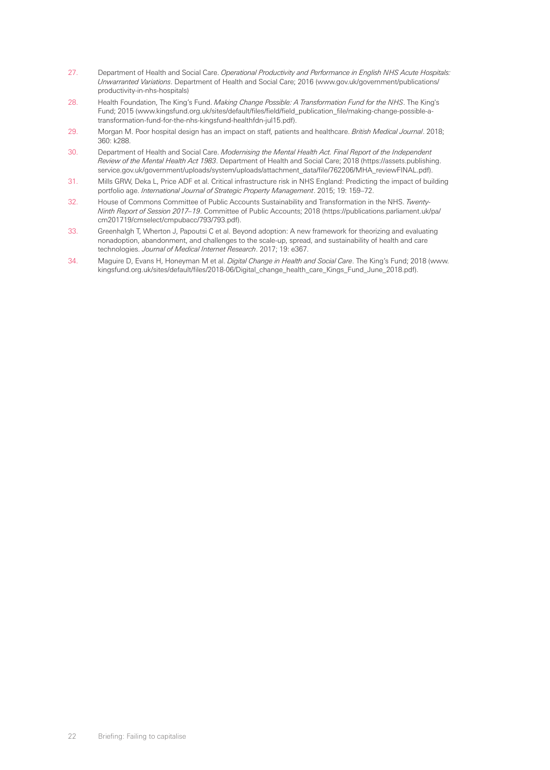- 27. Department of Health and Social Care. *Operational Productivity and Performance in English NHS Acute Hospitals: Unwarranted Variations*. Department of Health and Social Care; 2016 (www.gov.uk/government/publications/ productivity-in-nhs-hospitals)
- 28. Health Foundation, The King's Fund. *Making Change Possible: A Transformation Fund for the NHS*. The King's Fund; 2015 (www.kingsfund.org.uk/sites/default/files/field/field\_publication\_file/making-change-possible-atransformation-fund-for-the-nhs-kingsfund-healthfdn-jul15.pdf).
- 29. Morgan M. Poor hospital design has an impact on staff, patients and healthcare. *British Medical Journal*. 2018; 360: k288.
- 30. Department of Health and Social Care. *Modernising the Mental Health Act. Final Report of the Independent Review of the Mental Health Act 1983*. Department of Health and Social Care; 2018 (https://assets.publishing. service.gov.uk/government/uploads/system/uploads/attachment\_data/file/762206/MHA\_reviewFINAL.pdf).
- 31. Mills GRW, Deka L, Price ADF et al. Critical infrastructure risk in NHS England: Predicting the impact of building portfolio age. *International Journal of Strategic Property Management*. 2015; 19: 159–72.
- 32. House of Commons Committee of Public Accounts Sustainability and Transformation in the NHS. *Twenty-Ninth Report of Session 2017–19*. Committee of Public Accounts; 2018 (https://publications.parliament.uk/pa/ cm201719/cmselect/cmpubacc/793/793.pdf).
- 33. Greenhalgh T, Wherton J, Papoutsi C et al. Beyond adoption: A new framework for theorizing and evaluating nonadoption, abandonment, and challenges to the scale-up, spread, and sustainability of health and care technologies. *Journal of Medical Internet Research*. 2017; 19: e367.
- 34. Maguire D, Evans H, Honeyman M et al. *Digital Change in Health and Social Care*. The King's Fund; 2018 (www. kingsfund.org.uk/sites/default/files/2018-06/Digital\_change\_health\_care\_Kings\_Fund\_June\_2018.pdf).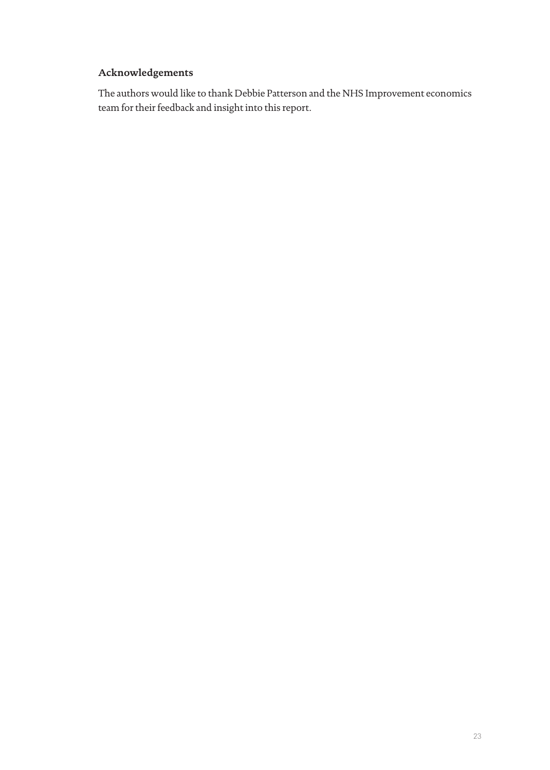## **Acknowledgements**

The authors would like to thank Debbie Patterson and the NHS Improvement economics team for their feedback and insight into this report.